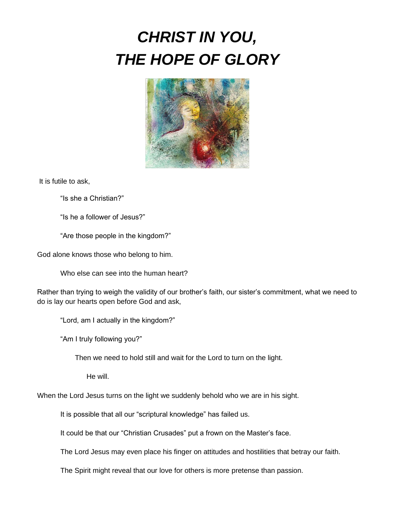# *CHRIST IN YOU, THE HOPE OF GLORY*



It is futile to ask,

"Is she a Christian?"

"Is he a follower of Jesus?"

"Are those people in the kingdom?"

God alone knows those who belong to him.

Who else can see into the human heart?

Rather than trying to weigh the validity of our brother's faith, our sister's commitment, what we need to do is lay our hearts open before God and ask,

"Lord, am I actually in the kingdom?"

"Am I truly following you?"

Then we need to hold still and wait for the Lord to turn on the light.

He will.

When the Lord Jesus turns on the light we suddenly behold who we are in his sight.

It is possible that all our "scriptural knowledge" has failed us.

It could be that our "Christian Crusades" put a frown on the Master's face.

The Lord Jesus may even place his finger on attitudes and hostilities that betray our faith.

The Spirit might reveal that our love for others is more pretense than passion.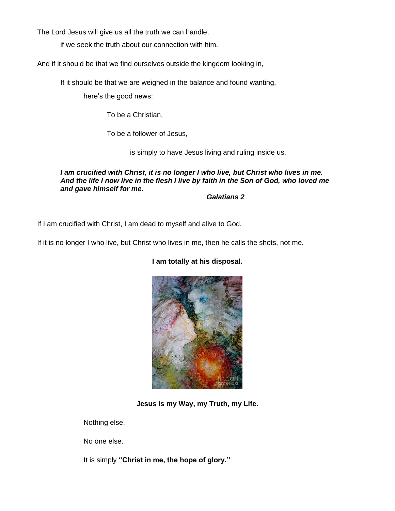The Lord Jesus will give us all the truth we can handle,

if we seek the truth about our connection with him.

And if it should be that we find ourselves outside the kingdom looking in,

If it should be that we are weighed in the balance and found wanting,

here's the good news:

To be a Christian,

To be a follower of Jesus,

is simply to have Jesus living and ruling inside us.

*I am crucified with Christ, it is no longer I who live, but Christ who lives in me. And the life I now live in the flesh I live by faith in the Son of God, who loved me and gave himself for me.*

*Galatians 2*

If I am crucified with Christ, I am dead to myself and alive to God.

If it is no longer I who live, but Christ who lives in me, then he calls the shots, not me.



### **I am totally at his disposal.**

**Jesus is my Way, my Truth, my Life.**

Nothing else.

No one else.

It is simply **"Christ in me, the hope of glory."**